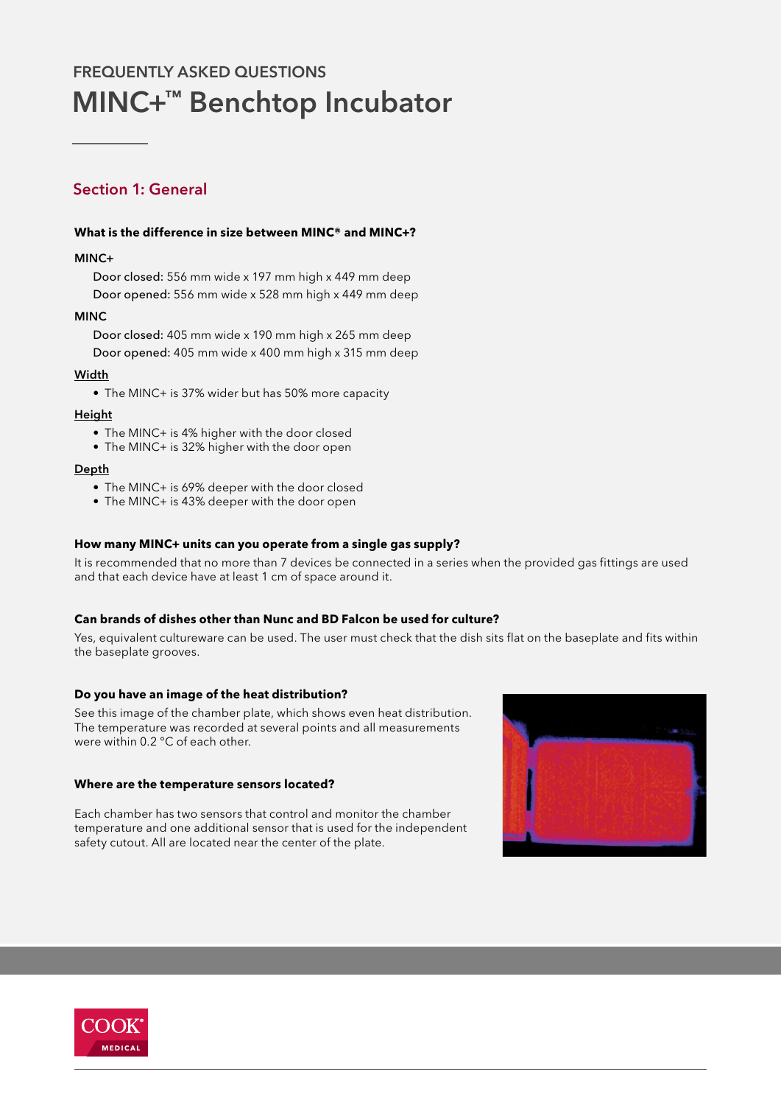# MINC+™ Benchtop Incubator FREQUENTLY ASKED QUESTIONS

# Section 1: General

### **What is the difference in size between MINC® and MINC+?**

### MINC+

Door closed: 556 mm wide x 197 mm high x 449 mm deep Door opened: 556 mm wide x 528 mm high x 449 mm deep

### MINC

Door closed: 405 mm wide x 190 mm high x 265 mm deep Door opened: 405 mm wide x 400 mm high x 315 mm deep

### Width

• The MINC+ is 37% wider but has 50% more capacity

### Height

- The MINC+ is 4% higher with the door closed
- The MINC+ is 32% higher with the door open

### Depth

- The MINC+ is 69% deeper with the door closed
- The MINC+ is 43% deeper with the door open

### **How many MINC+ units can you operate from a single gas supply?**

It is recommended that no more than 7 devices be connected in a series when the provided gas fittings are used and that each device have at least 1 cm of space around it.

### **Can brands of dishes other than Nunc and BD Falcon be used for culture?**

Yes, equivalent cultureware can be used. The user must check that the dish sits flat on the baseplate and fits within the baseplate grooves.

### **Do you have an image of the heat distribution?**

See this image of the chamber plate, which shows even heat distribution. The temperature was recorded at several points and all measurements were within 0.2 °C of each other.

### **Where are the temperature sensors located?**

Each chamber has two sensors that control and monitor the chamber temperature and one additional sensor that is used for the independent safety cutout. All are located near the center of the plate.



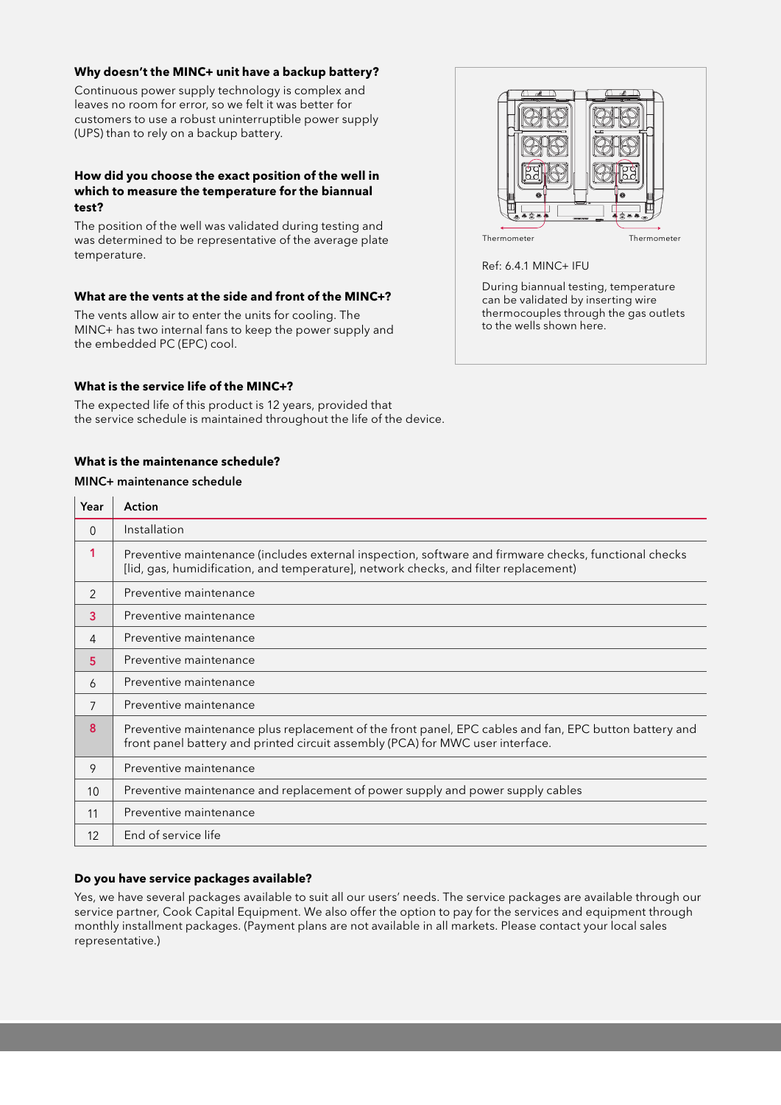### **Why doesn't the MINC+ unit have a backup battery?**

Continuous power supply technology is complex and leaves no room for error, so we felt it was better for customers to use a robust uninterruptible power supply (UPS) than to rely on a backup battery.

### **How did you choose the exact position of the well in which to measure the temperature for the biannual test?**

The position of the well was validated during testing and was determined to be representative of the average plate temperature.

### **What are the vents at the side and front of the MINC+?**

The vents allow air to enter the units for cooling. The MINC+ has two internal fans to keep the power supply and the embedded PC (EPC) cool.

# Thermometer Thermometer

Ref: 6.4.1 MINC+ IFU

During biannual testing, temperature can be validated by inserting wire thermocouples through the gas outlets to the wells shown here.

### **What is the service life of the MINC+?**

The expected life of this product is 12 years, provided that the service schedule is maintained throughout the life of the device.

### **What is the maintenance schedule?**

### MINC+ maintenance schedule

| Year     | Action                                                                                                                                                                                        |
|----------|-----------------------------------------------------------------------------------------------------------------------------------------------------------------------------------------------|
| $\Omega$ | Installation                                                                                                                                                                                  |
| 1        | Preventive maintenance (includes external inspection, software and firmware checks, functional checks<br>[lid, gas, humidification, and temperature], network checks, and filter replacement) |
| 2        | Preventive maintenance                                                                                                                                                                        |
| 3        | Preventive maintenance                                                                                                                                                                        |
| 4        | Preventive maintenance                                                                                                                                                                        |
| 5        | Preventive maintenance                                                                                                                                                                        |
| 6        | Preventive maintenance                                                                                                                                                                        |
| 7        | Preventive maintenance                                                                                                                                                                        |
| 8        | Preventive maintenance plus replacement of the front panel, EPC cables and fan, EPC button battery and<br>front panel battery and printed circuit assembly (PCA) for MWC user interface.      |
| 9        | Preventive maintenance                                                                                                                                                                        |
| 10       | Preventive maintenance and replacement of power supply and power supply cables                                                                                                                |
| 11       | Preventive maintenance                                                                                                                                                                        |
| 12       | End of service life                                                                                                                                                                           |

### **Do you have service packages available?**

Yes, we have several packages available to suit all our users' needs. The service packages are available through our service partner, Cook Capital Equipment. We also offer the option to pay for the services and equipment through monthly installment packages. (Payment plans are not available in all markets. Please contact your local sales representative.)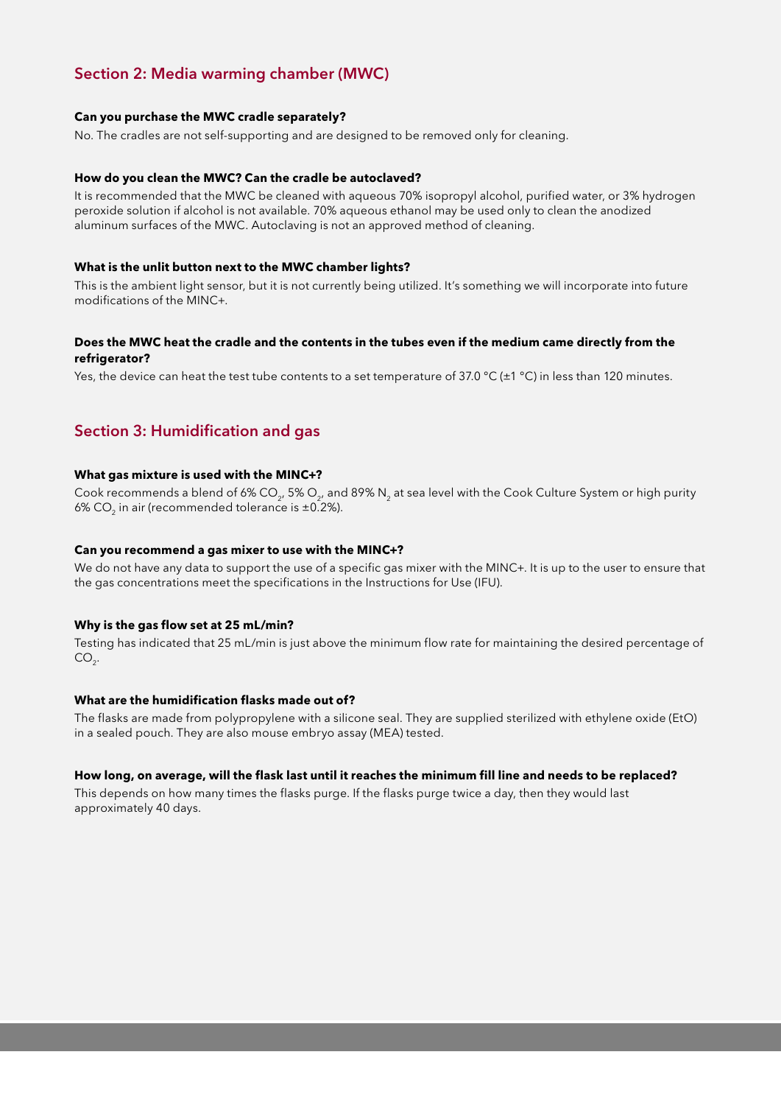# Section 2: Media warming chamber (MWC)

### **Can you purchase the MWC cradle separately?**

No. The cradles are not self-supporting and are designed to be removed only for cleaning.

### **How do you clean the MWC? Can the cradle be autoclaved?**

It is recommended that the MWC be cleaned with aqueous 70% isopropyl alcohol, purified water, or 3% hydrogen peroxide solution if alcohol is not available. 70% aqueous ethanol may be used only to clean the anodized aluminum surfaces of the MWC. Autoclaving is not an approved method of cleaning.

### **What is the unlit button next to the MWC chamber lights?**

This is the ambient light sensor, but it is not currently being utilized. It's something we will incorporate into future modifications of the MINC+.

### **Does the MWC heat the cradle and the contents in the tubes even if the medium came directly from the refrigerator?**

Yes, the device can heat the test tube contents to a set temperature of 37.0 °C ( $\pm$ 1 °C) in less than 120 minutes.

## Section 3: Humidification and gas

### **What gas mixture is used with the MINC+?**

Cook recommends a blend of 6% CO<sub>2</sub>, 5% O<sub>2</sub>, and 89% N<sub>2</sub> at sea level with the Cook Culture System or high purity 6% CO<sub>2</sub> in air (recommended tolerance is  $\pm$ 0.2%).

### **Can you recommend a gas mixer to use with the MINC+?**

We do not have any data to support the use of a specific gas mixer with the MINC+. It is up to the user to ensure that the gas concentrations meet the specifications in the Instructions for Use (IFU).

### **Why is the gas flow set at 25 mL/min?**

Testing has indicated that 25 mL/min is just above the minimum flow rate for maintaining the desired percentage of  $CO<sub>2</sub>$ .

### **What are the humidification flasks made out of?**

The flasks are made from polypropylene with a silicone seal. They are supplied sterilized with ethylene oxide (EtO) in a sealed pouch. They are also mouse embryo assay (MEA) tested.

### **How long, on average, will the flask last until it reaches the minimum fill line and needs to be replaced?**

This depends on how many times the flasks purge. If the flasks purge twice a day, then they would last approximately 40 days.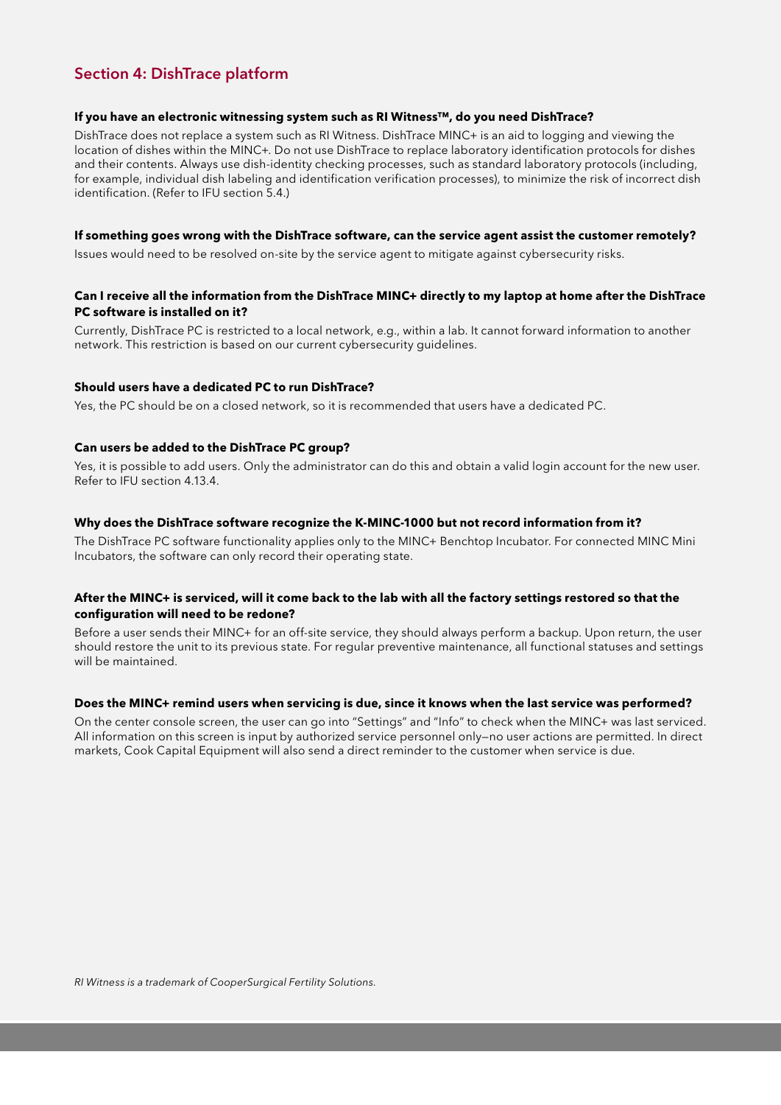# Section 4: DishTrace platform

### **If you have an electronic witnessing system such as RI Witness™, do you need DishTrace?**

DishTrace does not replace a system such as RI Witness. DishTrace MINC+ is an aid to logging and viewing the location of dishes within the MINC+. Do not use DishTrace to replace laboratory identification protocols for dishes and their contents. Always use dish-identity checking processes, such as standard laboratory protocols (including, for example, individual dish labeling and identification verification processes), to minimize the risk of incorrect dish identification. (Refer to IFU section 5.4.)

### **If something goes wrong with the DishTrace software, can the service agent assist the customer remotely?**

Issues would need to be resolved on-site by the service agent to mitigate against cybersecurity risks.

### **Can I receive all the information from the DishTrace MINC+ directly to my laptop at home after the DishTrace PC software is installed on it?**

Currently, DishTrace PC is restricted to a local network, e.g., within a lab. It cannot forward information to another network. This restriction is based on our current cybersecurity guidelines.

### **Should users have a dedicated PC to run DishTrace?**

Yes, the PC should be on a closed network, so it is recommended that users have a dedicated PC.

### **Can users be added to the DishTrace PC group?**

Yes, it is possible to add users. Only the administrator can do this and obtain a valid login account for the new user. Refer to IFU section 4.13.4.

### **Why does the DishTrace software recognize the K-MINC-1000 but not record information from it?**

The DishTrace PC software functionality applies only to the MINC+ Benchtop Incubator. For connected MINC Mini Incubators, the software can only record their operating state.

### **After the MINC+ is serviced, will it come back to the lab with all the factory settings restored so that the configuration will need to be redone?**

Before a user sends their MINC+ for an off-site service, they should always perform a backup. Upon return, the user should restore the unit to its previous state. For regular preventive maintenance, all functional statuses and settings will be maintained.

### **Does the MINC+ remind users when servicing is due, since it knows when the last service was performed?**

On the center console screen, the user can go into "Settings" and "Info" to check when the MINC+ was last serviced. All information on this screen is input by authorized service personnel only—no user actions are permitted. In direct markets, Cook Capital Equipment will also send a direct reminder to the customer when service is due.